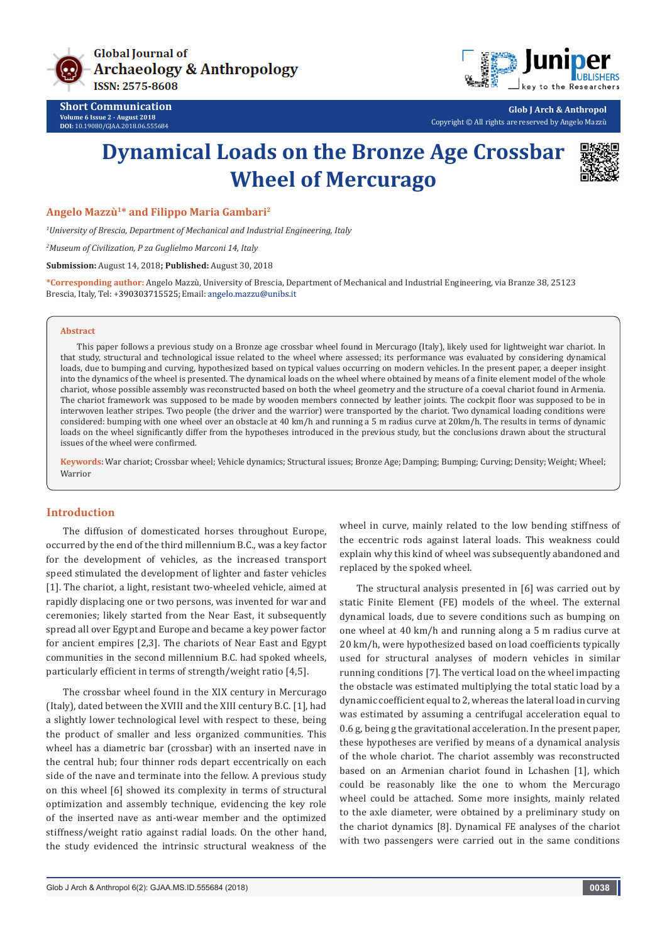

**Short Communication Volume 6 Issue 2 - August 2018 DOI:** [10.19080/GJAA.2018.06.555684](http://dx.doi.org/10.19080/GJAA.2018.06.555687)



**Glob J Arch & Anthropol** Copyright © All rights are reserved by Angelo Mazzù

# **Dynamical Loads on the Bronze Age Crossbar Wheel of Mercurago**



**Angelo Mazzù1\* and Filippo Maria Gambari2**

*1 University of Brescia, Department of Mechanical and Industrial Engineering, Italy*

*2 Museum of Civilization, P za Guglielmo Marconi 14, Italy*

**Submission:** August 14, 2018**; Published:** August 30, 2018

**\*Corresponding author:** Angelo Mazzù, University of Brescia, Department of Mechanical and Industrial Engineering, via Branze 38, 25123 Brescia, Italy, Tel: +390303715525; Email: angelo.mazzu@unibs.it

#### **Abstract**

This paper follows a previous study on a Bronze age crossbar wheel found in Mercurago (Italy), likely used for lightweight war chariot. In that study, structural and technological issue related to the wheel where assessed; its performance was evaluated by considering dynamical loads, due to bumping and curving, hypothesized based on typical values occurring on modern vehicles. In the present paper, a deeper insight into the dynamics of the wheel is presented. The dynamical loads on the wheel where obtained by means of a finite element model of the whole chariot, whose possible assembly was reconstructed based on both the wheel geometry and the structure of a coeval chariot found in Armenia. The chariot framework was supposed to be made by wooden members connected by leather joints. The cockpit floor was supposed to be in interwoven leather stripes. Two people (the driver and the warrior) were transported by the chariot. Two dynamical loading conditions were considered: bumping with one wheel over an obstacle at 40 km/h and running a 5 m radius curve at 20km/h. The results in terms of dynamic loads on the wheel significantly differ from the hypotheses introduced in the previous study, but the conclusions drawn about the structural issues of the wheel were confirmed.

**Keywords:** War chariot; Crossbar wheel; Vehicle dynamics; Structural issues; Bronze Age; Damping; Bumping; Curving; Density; Weight; Wheel; Warrior

#### **Introduction**

The diffusion of domesticated horses throughout Europe, occurred by the end of the third millennium B.C., was a key factor for the development of vehicles, as the increased transport speed stimulated the development of lighter and faster vehicles [1]. The chariot, a light, resistant two-wheeled vehicle, aimed at rapidly displacing one or two persons, was invented for war and ceremonies; likely started from the Near East, it subsequently spread all over Egypt and Europe and became a key power factor for ancient empires [2,3]. The chariots of Near East and Egypt communities in the second millennium B.C. had spoked wheels, particularly efficient in terms of strength/weight ratio [4,5].

The crossbar wheel found in the XIX century in Mercurago (Italy), dated between the XVIII and the XIII century B.C. [1], had a slightly lower technological level with respect to these, being the product of smaller and less organized communities. This wheel has a diametric bar (crossbar) with an inserted nave in the central hub; four thinner rods depart eccentrically on each side of the nave and terminate into the fellow. A previous study on this wheel [6] showed its complexity in terms of structural optimization and assembly technique, evidencing the key role of the inserted nave as anti-wear member and the optimized stiffness/weight ratio against radial loads. On the other hand, the study evidenced the intrinsic structural weakness of the

wheel in curve, mainly related to the low bending stiffness of the eccentric rods against lateral loads. This weakness could explain why this kind of wheel was subsequently abandoned and replaced by the spoked wheel.

The structural analysis presented in [6] was carried out by static Finite Element (FE) models of the wheel. The external dynamical loads, due to severe conditions such as bumping on one wheel at 40 km/h and running along a 5 m radius curve at 20 km/h, were hypothesized based on load coefficients typically used for structural analyses of modern vehicles in similar running conditions [7]. The vertical load on the wheel impacting the obstacle was estimated multiplying the total static load by a dynamic coefficient equal to 2, whereas the lateral load in curving was estimated by assuming a centrifugal acceleration equal to 0.6 g, being g the gravitational acceleration. In the present paper, these hypotheses are verified by means of a dynamical analysis of the whole chariot. The chariot assembly was reconstructed based on an Armenian chariot found in Lchashen [1], which could be reasonably like the one to whom the Mercurago wheel could be attached. Some more insights, mainly related to the axle diameter, were obtained by a preliminary study on the chariot dynamics [8]. Dynamical FE analyses of the chariot with two passengers were carried out in the same conditions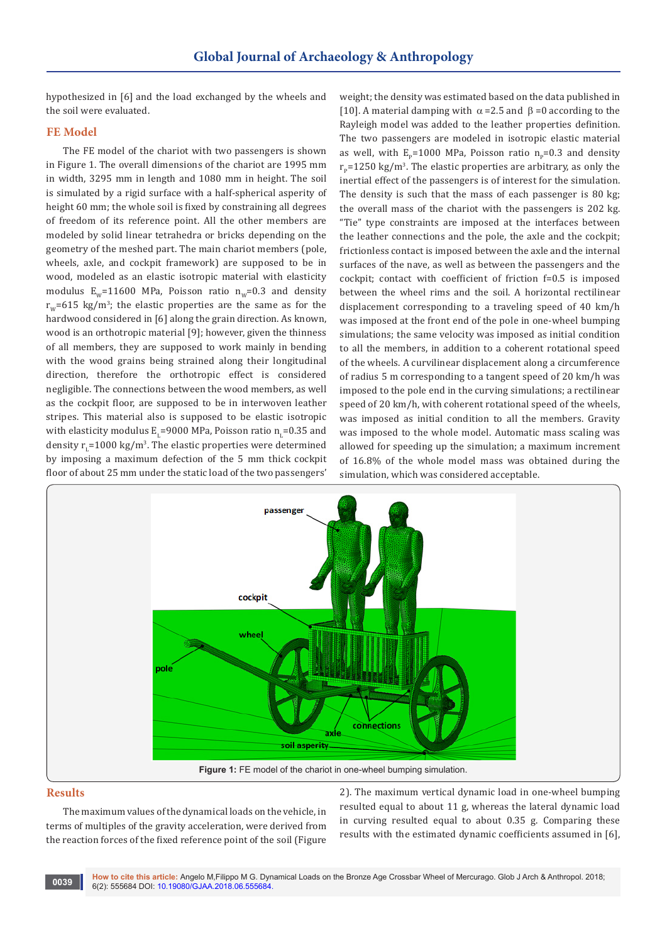hypothesized in [6] and the load exchanged by the wheels and the soil were evaluated.

## **FE Model**

The FE model of the chariot with two passengers is shown in Figure 1. The overall dimensions of the chariot are 1995 mm in width, 3295 mm in length and 1080 mm in height. The soil is simulated by a rigid surface with a half-spherical asperity of height 60 mm; the whole soil is fixed by constraining all degrees of freedom of its reference point. All the other members are modeled by solid linear tetrahedra or bricks depending on the geometry of the meshed part. The main chariot members (pole, wheels, axle, and cockpit framework) are supposed to be in wood, modeled as an elastic isotropic material with elasticity modulus  $E_w$ =11600 MPa, Poisson ratio  $n_w$ =0.3 and density  $r_{\rm w}$ =615 kg/m<sup>3</sup>; the elastic properties are the same as for the hardwood considered in [6] along the grain direction. As known, wood is an orthotropic material [9]; however, given the thinness of all members, they are supposed to work mainly in bending with the wood grains being strained along their longitudinal direction, therefore the orthotropic effect is considered negligible. The connections between the wood members, as well as the cockpit floor, are supposed to be in interwoven leather stripes. This material also is supposed to be elastic isotropic with elasticity modulus  $E_{L}$ =9000 MPa, Poisson ratio  $n_{L}$ =0.35 and density  $r_{L}$ =1000 kg/m<sup>3</sup>. The elastic properties were determined by imposing a maximum defection of the 5 mm thick cockpit floor of about 25 mm under the static load of the two passengers'

weight; the density was estimated based on the data published in [10]. A material damping with  $\alpha$  =2.5 and  $\beta$  =0 according to the Rayleigh model was added to the leather properties definition. The two passengers are modeled in isotropic elastic material as well, with  $E_n=1000$  MPa, Poisson ratio n<sub>p</sub>=0.3 and density  $r_{\rm p}$ =1250 kg/m<sup>3</sup>. The elastic properties are arbitrary, as only the inertial effect of the passengers is of interest for the simulation. The density is such that the mass of each passenger is 80 kg; the overall mass of the chariot with the passengers is 202 kg. "Tie" type constraints are imposed at the interfaces between the leather connections and the pole, the axle and the cockpit; frictionless contact is imposed between the axle and the internal surfaces of the nave, as well as between the passengers and the cockpit; contact with coefficient of friction f=0.5 is imposed between the wheel rims and the soil. A horizontal rectilinear displacement corresponding to a traveling speed of 40 km/h was imposed at the front end of the pole in one-wheel bumping simulations; the same velocity was imposed as initial condition to all the members, in addition to a coherent rotational speed of the wheels. A curvilinear displacement along a circumference of radius 5 m corresponding to a tangent speed of 20 km/h was imposed to the pole end in the curving simulations; a rectilinear speed of 20 km/h, with coherent rotational speed of the wheels, was imposed as initial condition to all the members. Gravity was imposed to the whole model. Automatic mass scaling was allowed for speeding up the simulation; a maximum increment of 16.8% of the whole model mass was obtained during the simulation, which was considered acceptable.



#### **Results**

The maximum values of the dynamical loads on the vehicle, in terms of multiples of the gravity acceleration, were derived from the reaction forces of the fixed reference point of the soil (Figure

2). The maximum vertical dynamic load in one-wheel bumping resulted equal to about 11 g, whereas the lateral dynamic load in curving resulted equal to about 0.35 g. Comparing these results with the estimated dynamic coefficients assumed in [6],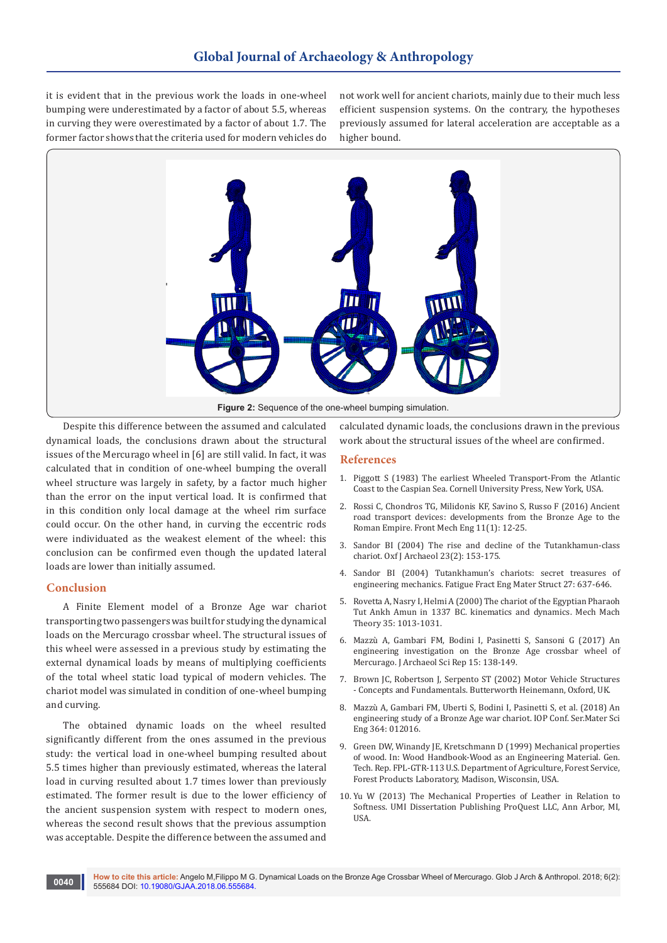it is evident that in the previous work the loads in one-wheel bumping were underestimated by a factor of about 5.5, whereas in curving they were overestimated by a factor of about 1.7. The former factor shows that the criteria used for modern vehicles do not work well for ancient chariots, mainly due to their much less efficient suspension systems. On the contrary, the hypotheses previously assumed for lateral acceleration are acceptable as a higher bound.



Despite this difference between the assumed and calculated dynamical loads, the conclusions drawn about the structural issues of the Mercurago wheel in [6] are still valid. In fact, it was calculated that in condition of one-wheel bumping the overall wheel structure was largely in safety, by a factor much higher than the error on the input vertical load. It is confirmed that in this condition only local damage at the wheel rim surface could occur. On the other hand, in curving the eccentric rods were individuated as the weakest element of the wheel: this conclusion can be confirmed even though the updated lateral loads are lower than initially assumed.

## **Conclusion**

A Finite Element model of a Bronze Age war chariot transporting two passengers was built for studying the dynamical loads on the Mercurago crossbar wheel. The structural issues of this wheel were assessed in a previous study by estimating the external dynamical loads by means of multiplying coefficients of the total wheel static load typical of modern vehicles. The chariot model was simulated in condition of one-wheel bumping and curving.

The obtained dynamic loads on the wheel resulted significantly different from the ones assumed in the previous study: the vertical load in one-wheel bumping resulted about 5.5 times higher than previously estimated, whereas the lateral load in curving resulted about 1.7 times lower than previously estimated. The former result is due to the lower efficiency of the ancient suspension system with respect to modern ones, whereas the second result shows that the previous assumption was acceptable. Despite the difference between the assumed and

calculated dynamic loads, the conclusions drawn in the previous work about the structural issues of the wheel are confirmed.

#### **References**

- 1. Piggott S (1983) The earliest Wheeled Transport-From the Atlantic Coast to the Caspian Sea. Cornell University Press, New York, USA.
- 2. [Rossi C, Chondros TG, Milidonis KF, Savino S, Russo F \(2016\) Ancient](https://link.springer.com/article/10.1007/s11465-015-0358-6)  [road transport devices: developments from the Bronze Age to the](https://link.springer.com/article/10.1007/s11465-015-0358-6)  [Roman Empire. Front Mech Eng 11\(1\): 12-25.](https://link.springer.com/article/10.1007/s11465-015-0358-6)
- 3. [Sandor BI \(2004\) The rise and decline of the Tutankhamun-class](https://onlinelibrary.wiley.com/doi/abs/10.1111/j.1468-0092.2004.00207.x)  [chariot. Oxf J Archaeol 23\(2\): 153-175.](https://onlinelibrary.wiley.com/doi/abs/10.1111/j.1468-0092.2004.00207.x)
- 4. [Sandor BI \(2004\) Tutankhamun's chariots: secret treasures of](https://onlinelibrary.wiley.com/doi/abs/10.1111/j.1460-2695.2004.00779.x)  [engineering mechanics. Fatigue Fract Eng Mater Struct 27: 637-646.](https://onlinelibrary.wiley.com/doi/abs/10.1111/j.1460-2695.2004.00779.x)
- 5. [Rovetta A, Nasry I, Helmi A \(2000\) The chariot of the Egyptian Pharaoh](https://www.sciencedirect.com/science/article/pii/S0094114X9900049X)  [Tut Ankh Amun in 1337 BC. kinematics and dynamics. Mech Mach](https://www.sciencedirect.com/science/article/pii/S0094114X9900049X)  [Theory 35: 1013-1031.](https://www.sciencedirect.com/science/article/pii/S0094114X9900049X)
- 6. [Mazzù A, Gambari FM, Bodini I, Pasinetti S, Sansoni G \(2017\) An](https://www.sciencedirect.com/science/article/pii/S2352409X17301931)  [engineering investigation on the Bronze Age crossbar wheel of](https://www.sciencedirect.com/science/article/pii/S2352409X17301931)  [Mercurago. J Archaeol Sci Rep 15: 138-149.](https://www.sciencedirect.com/science/article/pii/S2352409X17301931)
- 7. Brown JC, Robertson J, Serpento ST (2002) Motor Vehicle Structures - Concepts and Fundamentals. Butterworth Heinemann, Oxford, UK.
- 8. [Mazzù A, Gambari FM, Uberti S, Bodini I, Pasinetti S, et al. \(2018\) An](http://iopscience.iop.org/article/10.1088/1757-899X/364/1/012016)  [engineering study of a Bronze Age war chariot. IOP Conf. Ser.Mater Sci](http://iopscience.iop.org/article/10.1088/1757-899X/364/1/012016)  [Eng 364: 012016.](http://iopscience.iop.org/article/10.1088/1757-899X/364/1/012016)
- 9. Green DW, Winandy JE, Kretschmann D (1999) Mechanical properties of wood. In: Wood Handbook-Wood as an Engineering Material. Gen. Tech. Rep. FPL-GTR-113 U.S. Department of Agriculture, Forest Service, Forest Products Laboratory, Madison, Wisconsin, USA.
- 10. Yu W (2013) The Mechanical Properties of Leather in Relation to Softness. UMI Dissertation Publishing ProQuest LLC, Ann Arbor, MI, **IISA**